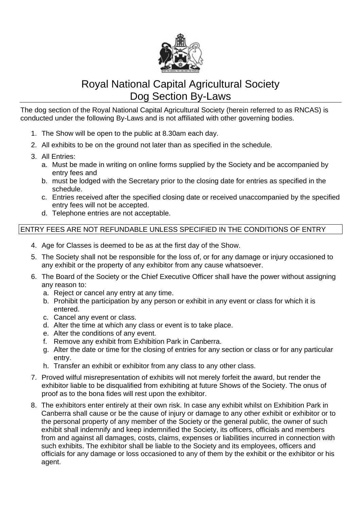

# Royal National Capital Agricultural Society Dog Section By-Laws

The dog section of the Royal National Capital Agricultural Society (herein referred to as RNCAS) is conducted under the following By-Laws and is not affiliated with other governing bodies.

- 1. The Show will be open to the public at 8.30am each day.
- 2. All exhibits to be on the ground not later than as specified in the schedule.
- 3. All Entries:
	- a. Must be made in writing on online forms supplied by the Society and be accompanied by entry fees and
	- b. must be lodged with the Secretary prior to the closing date for entries as specified in the schedule.
	- c. Entries received after the specified closing date or received unaccompanied by the specified entry fees will not be accepted.
	- d. Telephone entries are not acceptable.

# ENTRY FEES ARE NOT REFUNDABLE UNLESS SPECIFIED IN THE CONDITIONS OF ENTRY

- 4. Age for Classes is deemed to be as at the first day of the Show.
- 5. The Society shall not be responsible for the loss of, or for any damage or injury occasioned to any exhibit or the property of any exhibitor from any cause whatsoever.
- 6. The Board of the Society or the Chief Executive Officer shall have the power without assigning any reason to:
	- a. Reject or cancel any entry at any time.
	- b. Prohibit the participation by any person or exhibit in any event or class for which it is entered.
	- c. Cancel any event or class.
	- d. Alter the time at which any class or event is to take place.
	- e. Alter the conditions of any event.
	- f. Remove any exhibit from Exhibition Park in Canberra.
	- g. Alter the date or time for the closing of entries for any section or class or for any particular entry.
	- h. Transfer an exhibit or exhibitor from any class to any other class.
- 7. Proved wilful misrepresentation of exhibits will not merely forfeit the award, but render the exhibitor liable to be disqualified from exhibiting at future Shows of the Society. The onus of proof as to the bona fides will rest upon the exhibitor.
- 8. The exhibitors enter entirely at their own risk. In case any exhibit whilst on Exhibition Park in Canberra shall cause or be the cause of injury or damage to any other exhibit or exhibitor or to the personal property of any member of the Society or the general public, the owner of such exhibit shall indemnify and keep indemnified the Society, its officers, officials and members from and against all damages, costs, claims, expenses or liabilities incurred in connection with such exhibits. The exhibitor shall be liable to the Society and its employees, officers and officials for any damage or loss occasioned to any of them by the exhibit or the exhibitor or his agent.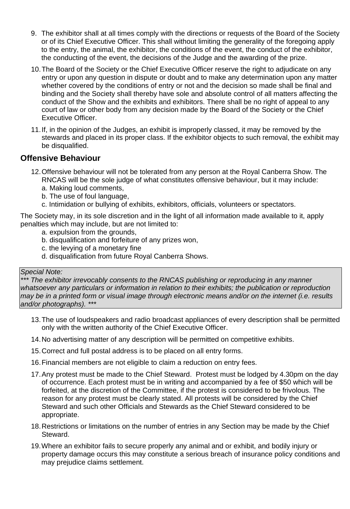- 9. The exhibitor shall at all times comply with the directions or requests of the Board of the Society or of its Chief Executive Officer. This shall without limiting the generality of the foregoing apply to the entry, the animal, the exhibitor, the conditions of the event, the conduct of the exhibitor, the conducting of the event, the decisions of the Judge and the awarding of the prize.
- 10.The Board of the Society or the Chief Executive Officer reserve the right to adjudicate on any entry or upon any question in dispute or doubt and to make any determination upon any matter whether covered by the conditions of entry or not and the decision so made shall be final and binding and the Society shall thereby have sole and absolute control of all matters affecting the conduct of the Show and the exhibits and exhibitors. There shall be no right of appeal to any court of law or other body from any decision made by the Board of the Society or the Chief Executive Officer.
- 11.If, in the opinion of the Judges, an exhibit is improperly classed, it may be removed by the stewards and placed in its proper class. If the exhibitor objects to such removal, the exhibit may be disqualified.

# **Offensive Behaviour**

- 12.Offensive behaviour will not be tolerated from any person at the Royal Canberra Show. The RNCAS will be the sole judge of what constitutes offensive behaviour, but it may include:
	- a. Making loud comments,
	- b. The use of foul language,
	- c. Intimidation or bullying of exhibits, exhibitors, officials, volunteers or spectators.

The Society may, in its sole discretion and in the light of all information made available to it, apply penalties which may include, but are not limited to:

- a. expulsion from the grounds,
- b. disqualification and forfeiture of any prizes won,
- c. the levying of a monetary fine
- d. disqualification from future Royal Canberra Shows.

#### *Special Note:*

*\*\*\* The exhibitor irrevocably consents to the RNCAS publishing or reproducing in any manner whatsoever any particulars or information in relation to their exhibits; the publication or reproduction* may be in a printed form or visual image through electronic means and/or on the internet (i.e. results *and/or photographs). \*\*\**

- 13.The use of loudspeakers and radio broadcast appliances of every description shall be permitted only with the written authority of the Chief Executive Officer.
- 14.No advertising matter of any description will be permitted on competitive exhibits.
- 15.Correct and full postal address is to be placed on all entry forms.
- 16.Financial members are not eligible to claim a reduction on entry fees.
- 17.Any protest must be made to the Chief Steward. Protest must be lodged by 4.30pm on the day of occurrence. Each protest must be in writing and accompanied by a fee of \$50 which will be forfeited, at the discretion of the Committee, if the protest is considered to be frivolous. The reason for any protest must be clearly stated. All protests will be considered by the Chief Steward and such other Officials and Stewards as the Chief Steward considered to be appropriate.
- 18.Restrictions or limitations on the number of entries in any Section may be made by the Chief Steward.
- 19.Where an exhibitor fails to secure properly any animal and or exhibit, and bodily injury or property damage occurs this may constitute a serious breach of insurance policy conditions and may prejudice claims settlement.